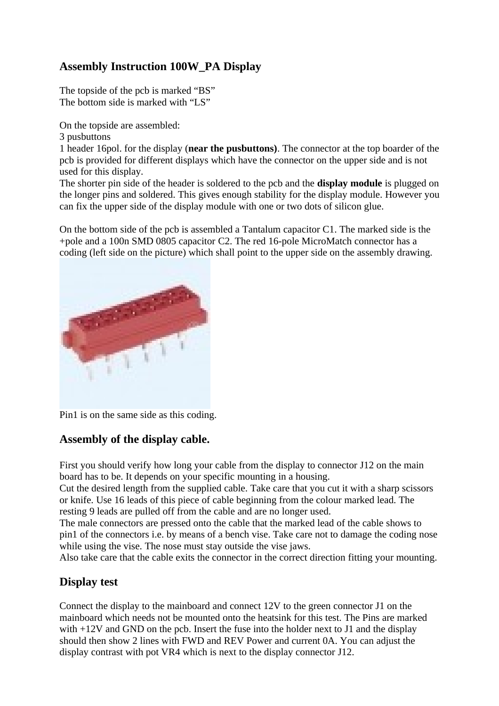## **Assembly Instruction 100W\_PA Display**

The topside of the pcb is marked "BS" The bottom side is marked with "LS"

On the topside are assembled:

3 pusbuttons

1 header 16pol. for the display (**near the pusbuttons)**. The connector at the top boarder of the pcb is provided for different displays which have the connector on the upper side and is not used for this display.

The shorter pin side of the header is soldered to the pcb and the **display module** is plugged on the longer pins and soldered. This gives enough stability for the display module. However you can fix the upper side of the display module with one or two dots of silicon glue.

On the bottom side of the pcb is assembled a Tantalum capacitor C1. The marked side is the +pole and a 100n SMD 0805 capacitor C2. The red 16-pole MicroMatch connector has a coding (left side on the picture) which shall point to the upper side on the assembly drawing.



Pin1 is on the same side as this coding.

## **Assembly of the display cable.**

First you should verify how long your cable from the display to connector J12 on the main board has to be. It depends on your specific mounting in a housing.

Cut the desired length from the supplied cable. Take care that you cut it with a sharp scissors or knife. Use 16 leads of this piece of cable beginning from the colour marked lead. The resting 9 leads are pulled off from the cable and are no longer used.

The male connectors are pressed onto the cable that the marked lead of the cable shows to pin1 of the connectors i.e. by means of a bench vise. Take care not to damage the coding nose while using the vise. The nose must stay outside the vise jaws.

Also take care that the cable exits the connector in the correct direction fitting your mounting.

## **Display test**

Connect the display to the mainboard and connect 12V to the green connector J1 on the mainboard which needs not be mounted onto the heatsink for this test. The Pins are marked with +12V and GND on the pcb. Insert the fuse into the holder next to J1 and the display should then show 2 lines with FWD and REV Power and current 0A. You can adjust the display contrast with pot VR4 which is next to the display connector J12.